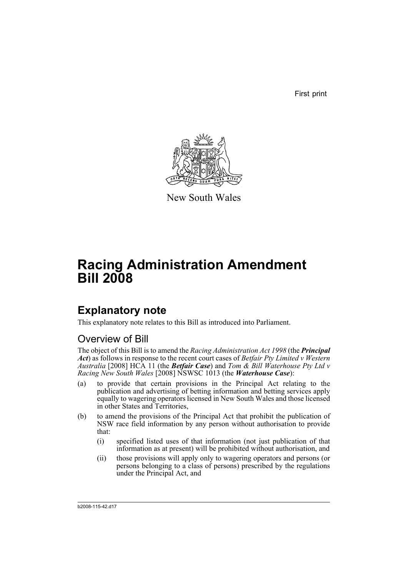First print



New South Wales

# **Racing Administration Amendment Bill 2008**

# **Explanatory note**

This explanatory note relates to this Bill as introduced into Parliament.

## Overview of Bill

The object of this Bill is to amend the *Racing Administration Act 1998* (the *Principal Act*) as follows in response to the recent court cases of *Betfair Pty Limited v Western Australia* [2008] HCA 11 (the *Betfair Case*) and *Tom & Bill Waterhouse Pty Ltd v Racing New South Wales* [2008] NSWSC 1013 (the *Waterhouse Case*):

- (a) to provide that certain provisions in the Principal Act relating to the publication and advertising of betting information and betting services apply equally to wagering operators licensed in New South Wales and those licensed in other States and Territories,
- (b) to amend the provisions of the Principal Act that prohibit the publication of NSW race field information by any person without authorisation to provide that:
	- (i) specified listed uses of that information (not just publication of that information as at present) will be prohibited without authorisation, and
	- (ii) those provisions will apply only to wagering operators and persons (or persons belonging to a class of persons) prescribed by the regulations under the Principal Act, and

b2008-115-42.d17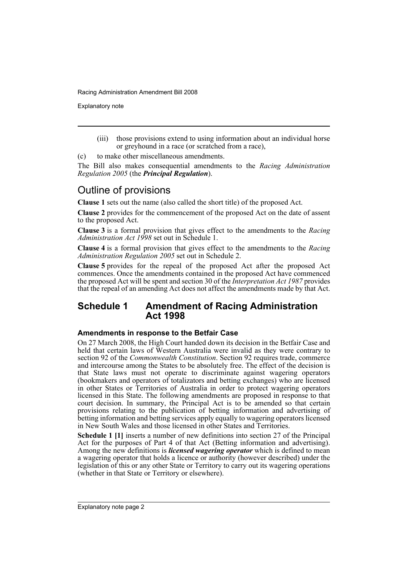Explanatory note

(iii) those provisions extend to using information about an individual horse or greyhound in a race (or scratched from a race),

(c) to make other miscellaneous amendments.

The Bill also makes consequential amendments to the *Racing Administration Regulation 2005* (the *Principal Regulation*).

## Outline of provisions

**Clause 1** sets out the name (also called the short title) of the proposed Act.

**Clause 2** provides for the commencement of the proposed Act on the date of assent to the proposed Act.

**Clause 3** is a formal provision that gives effect to the amendments to the *Racing Administration Act 1998* set out in Schedule 1.

**Clause 4** is a formal provision that gives effect to the amendments to the *Racing Administration Regulation 2005* set out in Schedule 2.

**Clause 5** provides for the repeal of the proposed Act after the proposed Act commences. Once the amendments contained in the proposed Act have commenced the proposed Act will be spent and section 30 of the *Interpretation Act 1987* provides that the repeal of an amending Act does not affect the amendments made by that Act.

### **Schedule 1 Amendment of Racing Administration Act 1998**

### **Amendments in response to the Betfair Case**

On 27 March 2008, the High Court handed down its decision in the Betfair Case and held that certain laws of Western Australia were invalid as they were contrary to section 92 of the *Commonwealth Constitution*. Section 92 requires trade, commerce and intercourse among the States to be absolutely free. The effect of the decision is that State laws must not operate to discriminate against wagering operators (bookmakers and operators of totalizators and betting exchanges) who are licensed in other States or Territories of Australia in order to protect wagering operators licensed in this State. The following amendments are proposed in response to that court decision. In summary, the Principal Act is to be amended so that certain provisions relating to the publication of betting information and advertising of betting information and betting services apply equally to wagering operators licensed in New South Wales and those licensed in other States and Territories.

**Schedule 1 [1]** inserts a number of new definitions into section 27 of the Principal Act for the purposes of Part 4 of that Act (Betting information and advertising). Among the new definitions is *licensed wagering operator* which is defined to mean a wagering operator that holds a licence or authority (however described) under the legislation of this or any other State or Territory to carry out its wagering operations (whether in that State or Territory or elsewhere).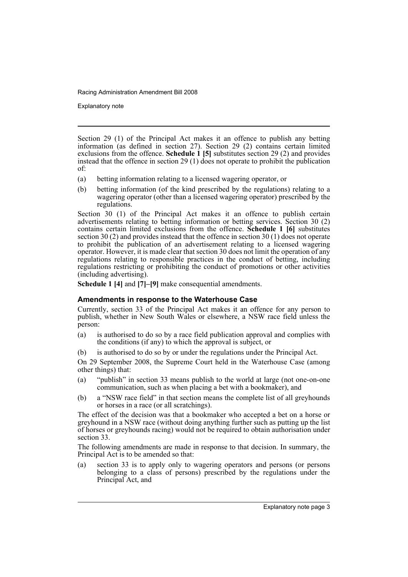Explanatory note

Section 29 (1) of the Principal Act makes it an offence to publish any betting information (as defined in section 27). Section 29 (2) contains certain limited exclusions from the offence. **Schedule 1 [5]** substitutes section 29 (2) and provides instead that the offence in section 29 (1) does not operate to prohibit the publication of:

- (a) betting information relating to a licensed wagering operator, or
- (b) betting information (of the kind prescribed by the regulations) relating to a wagering operator (other than a licensed wagering operator) prescribed by the regulations.

Section 30 (1) of the Principal Act makes it an offence to publish certain advertisements relating to betting information or betting services. Section 30 (2) contains certain limited exclusions from the offence. **Schedule 1 [6]** substitutes section 30 (2) and provides instead that the offence in section 30 (1) does not operate to prohibit the publication of an advertisement relating to a licensed wagering operator. However, it is made clear that section 30 does not limit the operation of any regulations relating to responsible practices in the conduct of betting, including regulations restricting or prohibiting the conduct of promotions or other activities (including advertising).

**Schedule 1 [4]** and **[7]–[9]** make consequential amendments.

### **Amendments in response to the Waterhouse Case**

Currently, section 33 of the Principal Act makes it an offence for any person to publish, whether in New South Wales or elsewhere, a NSW race field unless the person:

- (a) is authorised to do so by a race field publication approval and complies with the conditions (if any) to which the approval is subject, or
- (b) is authorised to do so by or under the regulations under the Principal Act.

On 29 September 2008, the Supreme Court held in the Waterhouse Case (among other things) that:

- (a) "publish" in section 33 means publish to the world at large (not one-on-one communication, such as when placing a bet with a bookmaker), and
- (b) a "NSW race field" in that section means the complete list of all greyhounds or horses in a race (or all scratchings).

The effect of the decision was that a bookmaker who accepted a bet on a horse or greyhound in a NSW race (without doing anything further such as putting up the list of horses or greyhounds racing) would not be required to obtain authorisation under section 33.

The following amendments are made in response to that decision. In summary, the Principal Act is to be amended so that:

(a) section 33 is to apply only to wagering operators and persons (or persons belonging to a class of persons) prescribed by the regulations under the Principal Act, and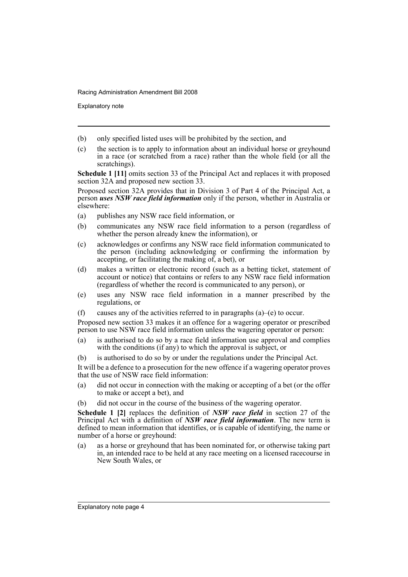Explanatory note

- (b) only specified listed uses will be prohibited by the section, and
- (c) the section is to apply to information about an individual horse or greyhound in a race (or scratched from a race) rather than the whole field (or all the scratchings).

**Schedule 1 [11]** omits section 33 of the Principal Act and replaces it with proposed section 32A and proposed new section 33.

Proposed section 32A provides that in Division 3 of Part 4 of the Principal Act, a person *uses NSW race field information* only if the person, whether in Australia or elsewhere:

- (a) publishes any NSW race field information, or
- (b) communicates any NSW race field information to a person (regardless of whether the person already knew the information), or
- (c) acknowledges or confirms any NSW race field information communicated to the person (including acknowledging or confirming the information by accepting, or facilitating the making of, a bet), or
- (d) makes a written or electronic record (such as a betting ticket, statement of account or notice) that contains or refers to any NSW race field information (regardless of whether the record is communicated to any person), or
- (e) uses any NSW race field information in a manner prescribed by the regulations, or
- (f) causes any of the activities referred to in paragraphs  $(a)$ –(e) to occur.

Proposed new section 33 makes it an offence for a wagering operator or prescribed person to use NSW race field information unless the wagering operator or person:

- (a) is authorised to do so by a race field information use approval and complies with the conditions (if any) to which the approval is subject, or
- (b) is authorised to do so by or under the regulations under the Principal Act.

It will be a defence to a prosecution for the new offence if a wagering operator proves that the use of NSW race field information:

- (a) did not occur in connection with the making or accepting of a bet (or the offer to make or accept a bet), and
- (b) did not occur in the course of the business of the wagering operator.

**Schedule 1 [2]** replaces the definition of *NSW race field* in section 27 of the Principal Act with a definition of *NSW race field information*. The new term is defined to mean information that identifies, or is capable of identifying, the name or number of a horse or greyhound:

(a) as a horse or greyhound that has been nominated for, or otherwise taking part in, an intended race to be held at any race meeting on a licensed racecourse in New South Wales, or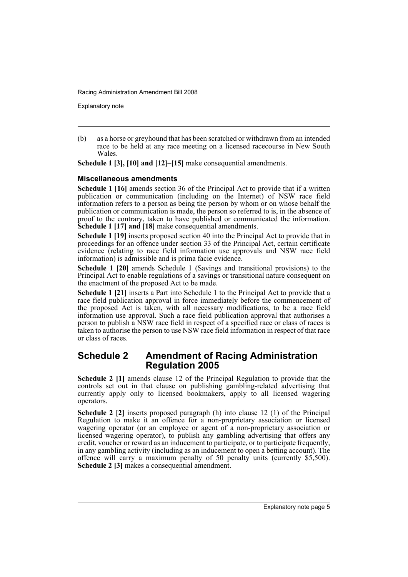Explanatory note

(b) as a horse or greyhound that has been scratched or withdrawn from an intended race to be held at any race meeting on a licensed racecourse in New South Wales.

**Schedule 1 [3], [10] and [12]–[15]** make consequential amendments.

### **Miscellaneous amendments**

**Schedule 1 [16]** amends section 36 of the Principal Act to provide that if a written publication or communication (including on the Internet) of NSW race field information refers to a person as being the person by whom or on whose behalf the publication or communication is made, the person so referred to is, in the absence of proof to the contrary, taken to have published or communicated the information. **Schedule 1 [17] and [18]** make consequential amendments.

**Schedule 1 [19]** inserts proposed section 40 into the Principal Act to provide that in proceedings for an offence under section 33 of the Principal Act, certain certificate evidence (relating to race field information use approvals and NSW race field information) is admissible and is prima facie evidence.

**Schedule 1 [20]** amends Schedule 1 (Savings and transitional provisions) to the Principal Act to enable regulations of a savings or transitional nature consequent on the enactment of the proposed Act to be made.

**Schedule 1 [21]** inserts a Part into Schedule 1 to the Principal Act to provide that a race field publication approval in force immediately before the commencement of the proposed Act is taken, with all necessary modifications, to be a race field information use approval. Such a race field publication approval that authorises a person to publish a NSW race field in respect of a specified race or class of races is taken to authorise the person to use NSW race field information in respect of that race or class of races.

## **Schedule 2 Amendment of Racing Administration Regulation 2005**

**Schedule 2 [1]** amends clause 12 of the Principal Regulation to provide that the controls set out in that clause on publishing gambling-related advertising that currently apply only to licensed bookmakers, apply to all licensed wagering operators.

**Schedule 2 [2]** inserts proposed paragraph (h) into clause 12 (1) of the Principal Regulation to make it an offence for a non-proprietary association or licensed wagering operator (or an employee or agent of a non-proprietary association or licensed wagering operator), to publish any gambling advertising that offers any credit, voucher or reward as an inducement to participate, or to participate frequently, in any gambling activity (including as an inducement to open a betting account). The offence will carry a maximum penalty of 50 penalty units (currently \$5,500). **Schedule 2 [3]** makes a consequential amendment.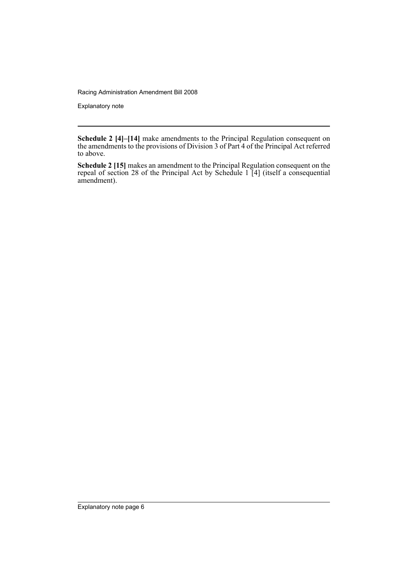Explanatory note

**Schedule 2 [4]–[14]** make amendments to the Principal Regulation consequent on the amendments to the provisions of Division 3 of Part 4 of the Principal Act referred to above.

**Schedule 2 [15]** makes an amendment to the Principal Regulation consequent on the repeal of section 28 of the Principal Act by Schedule 1 [4] (itself a consequential amendment).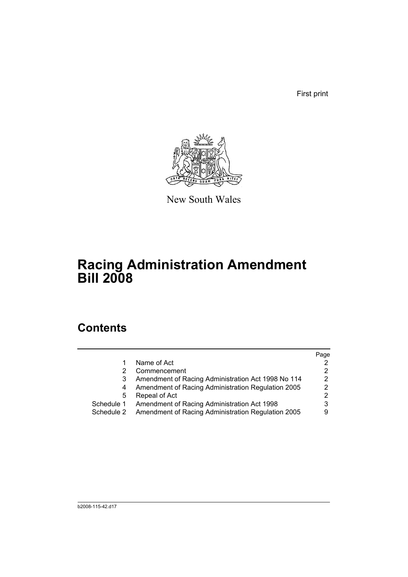First print



New South Wales

# **Racing Administration Amendment Bill 2008**

## **Contents**

|            |                                                    | Page |
|------------|----------------------------------------------------|------|
|            | Name of Act                                        |      |
|            | Commencement                                       |      |
| 3          | Amendment of Racing Administration Act 1998 No 114 | 2    |
| 4          | Amendment of Racing Administration Regulation 2005 | 2    |
| 5          | Repeal of Act                                      | 2    |
| Schedule 1 | Amendment of Racing Administration Act 1998        |      |
| Schedule 2 | Amendment of Racing Administration Regulation 2005 |      |
|            |                                                    |      |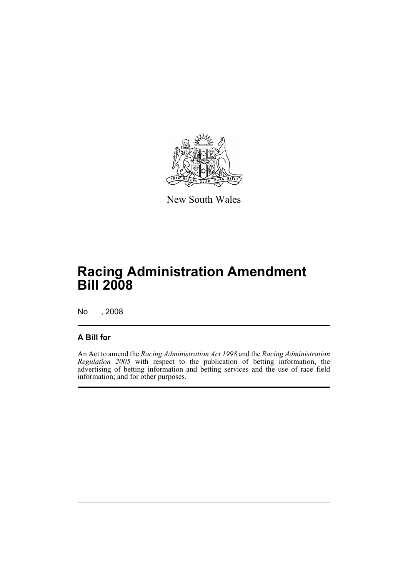

New South Wales

# **Racing Administration Amendment Bill 2008**

No , 2008

## **A Bill for**

An Act to amend the *Racing Administration Act 1998* and the *Racing Administration Regulation 2005* with respect to the publication of betting information, the advertising of betting information and betting services and the use of race field information; and for other purposes.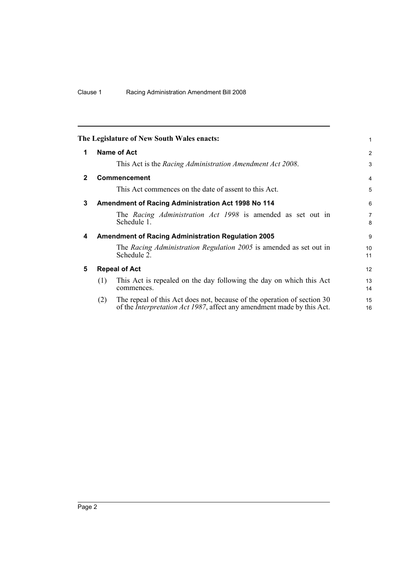<span id="page-9-4"></span><span id="page-9-3"></span><span id="page-9-2"></span><span id="page-9-1"></span><span id="page-9-0"></span>

|              | The Legislature of New South Wales enacts:                                                                                                                       | 1                   |
|--------------|------------------------------------------------------------------------------------------------------------------------------------------------------------------|---------------------|
| 1            | <b>Name of Act</b>                                                                                                                                               | 2                   |
|              | This Act is the Racing Administration Amendment Act 2008.                                                                                                        | 3                   |
| $\mathbf{2}$ | <b>Commencement</b>                                                                                                                                              | 4                   |
|              | This Act commences on the date of assent to this Act.                                                                                                            | 5                   |
| 3            | <b>Amendment of Racing Administration Act 1998 No 114</b>                                                                                                        | 6                   |
|              | The Racing Administration Act 1998 is amended as set out in<br>Schedule 1.                                                                                       | $\overline{7}$<br>8 |
| 4            | <b>Amendment of Racing Administration Regulation 2005</b>                                                                                                        | 9                   |
|              | The Racing Administration Regulation 2005 is amended as set out in<br>Schedule 2.                                                                                | 10<br>11            |
| 5            | <b>Repeal of Act</b>                                                                                                                                             | 12                  |
|              | This Act is repealed on the day following the day on which this Act<br>(1)<br>commences.                                                                         | 13<br>14            |
|              | The repeal of this Act does not, because of the operation of section 30<br>(2)<br>of the <i>Interpretation Act 1987</i> , affect any amendment made by this Act. | 15<br>16            |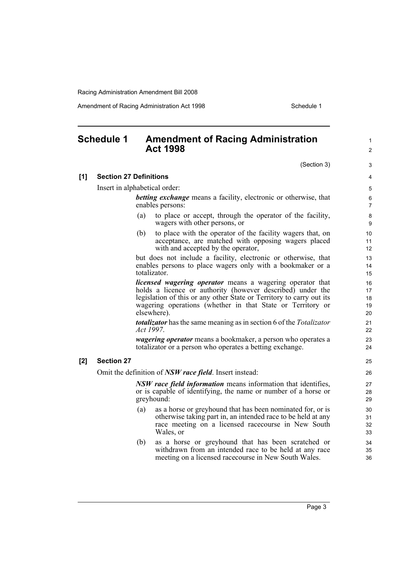Amendment of Racing Administration Act 1998 **Schedule 1** Schedule 1

## <span id="page-10-0"></span>**Schedule 1 Amendment of Racing Administration Act 1998**

(Section 3)

1  $\mathfrak{p}$ 

### **[1] Section 27 Definitions**

Insert in alphabetical order:

*betting exchange* means a facility, electronic or otherwise, that enables persons:

- (a) to place or accept, through the operator of the facility, wagers with other persons, or
- (b) to place with the operator of the facility wagers that, on acceptance, are matched with opposing wagers placed with and accepted by the operator,

but does not include a facility, electronic or otherwise, that enables persons to place wagers only with a bookmaker or a totalizator.

*licensed wagering operator* means a wagering operator that holds a licence or authority (however described) under the legislation of this or any other State or Territory to carry out its wagering operations (whether in that State or Territory or elsewhere).

*totalizator* has the same meaning as in section 6 of the *Totalizator Act 1997*.

*wagering operator* means a bookmaker, a person who operates a totalizator or a person who operates a betting exchange.

#### **[2] Section 27**

Omit the definition of *NSW race field*. Insert instead:

*NSW race field information* means information that identifies, or is capable of identifying, the name or number of a horse or greyhound:

- (a) as a horse or greyhound that has been nominated for, or is otherwise taking part in, an intended race to be held at any race meeting on a licensed racecourse in New South Wales, or
- (b) as a horse or greyhound that has been scratched or withdrawn from an intended race to be held at any race meeting on a licensed racecourse in New South Wales.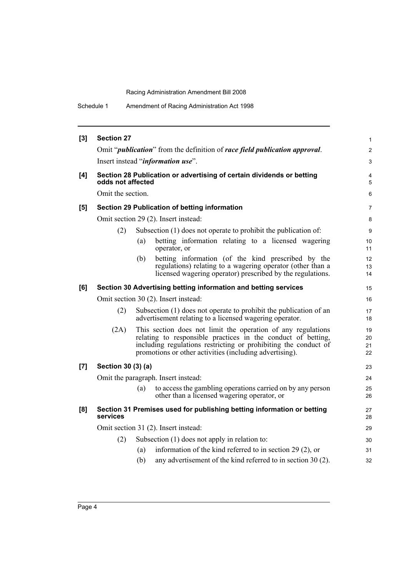| [3] | <b>Section 27</b>  |     |                                                                                                                                                                                                                                                            | $\mathbf{1}$         |
|-----|--------------------|-----|------------------------------------------------------------------------------------------------------------------------------------------------------------------------------------------------------------------------------------------------------------|----------------------|
|     |                    |     | Omit " <i>publication</i> " from the definition of <i>race field publication approval</i> .                                                                                                                                                                | 2                    |
|     |                    |     | Insert instead "information use".                                                                                                                                                                                                                          | 3                    |
| [4] | odds not affected  |     | Section 28 Publication or advertising of certain dividends or betting                                                                                                                                                                                      | 4<br>5               |
|     | Omit the section.  |     |                                                                                                                                                                                                                                                            | 6                    |
| [5] |                    |     | Section 29 Publication of betting information                                                                                                                                                                                                              | $\overline{7}$       |
|     |                    |     | Omit section 29 (2). Insert instead:                                                                                                                                                                                                                       | 8                    |
|     | (2)                |     | Subsection (1) does not operate to prohibit the publication of:                                                                                                                                                                                            | 9                    |
|     |                    | (a) | betting information relating to a licensed wagering<br>operator, or                                                                                                                                                                                        | 10<br>11             |
|     |                    | (b) | betting information (of the kind prescribed by the<br>regulations) relating to a wagering operator (other than a<br>licensed wagering operator) prescribed by the regulations.                                                                             | 12<br>13<br>14       |
| [6] |                    |     | Section 30 Advertising betting information and betting services                                                                                                                                                                                            | 15                   |
|     |                    |     | Omit section 30 (2). Insert instead:                                                                                                                                                                                                                       | 16                   |
|     | (2)                |     | Subsection (1) does not operate to prohibit the publication of an<br>advertisement relating to a licensed wagering operator.                                                                                                                               | 17<br>18             |
|     | (2A)               |     | This section does not limit the operation of any regulations<br>relating to responsible practices in the conduct of betting,<br>including regulations restricting or prohibiting the conduct of<br>promotions or other activities (including advertising). | 19<br>20<br>21<br>22 |
| [7] | Section 30 (3) (a) |     |                                                                                                                                                                                                                                                            | 23                   |
|     |                    |     | Omit the paragraph. Insert instead:                                                                                                                                                                                                                        | 24                   |
|     |                    | (a) | to access the gambling operations carried on by any person<br>other than a licensed wagering operator, or                                                                                                                                                  | 25<br>26             |
| [8] | services           |     | Section 31 Premises used for publishing betting information or betting                                                                                                                                                                                     | 27<br>28             |
|     |                    |     | Omit section 31 (2). Insert instead:                                                                                                                                                                                                                       | 29                   |
|     | (2)                |     | Subsection $(1)$ does not apply in relation to:                                                                                                                                                                                                            | 30                   |
|     |                    | (a) | information of the kind referred to in section 29 (2), or                                                                                                                                                                                                  | 31                   |
|     |                    | (b) | any advertisement of the kind referred to in section 30 (2).                                                                                                                                                                                               | 32                   |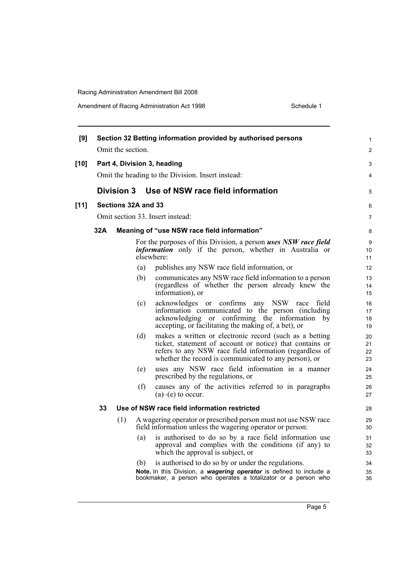| [9]    |     | Omit the section.   |     | Section 32 Betting information provided by authorised persons                                                                                                                                                                           | 1<br>2               |
|--------|-----|---------------------|-----|-----------------------------------------------------------------------------------------------------------------------------------------------------------------------------------------------------------------------------------------|----------------------|
|        |     |                     |     |                                                                                                                                                                                                                                         |                      |
| [10]   |     |                     |     | Part 4, Division 3, heading<br>Omit the heading to the Division. Insert instead:                                                                                                                                                        | 3<br>4               |
|        |     | Division 3          |     | Use of NSW race field information                                                                                                                                                                                                       | 5                    |
| $[11]$ |     | Sections 32A and 33 |     |                                                                                                                                                                                                                                         | 6                    |
|        |     |                     |     | Omit section 33. Insert instead:                                                                                                                                                                                                        | $\overline{7}$       |
|        | 32A |                     |     | Meaning of "use NSW race field information"                                                                                                                                                                                             | 8                    |
|        |     |                     |     | For the purposes of this Division, a person uses NSW race field<br><i>information</i> only if the person, whether in Australia or<br>elsewhere:                                                                                         | 9<br>10<br>11        |
|        |     |                     | (a) | publishes any NSW race field information, or                                                                                                                                                                                            | 12                   |
|        |     |                     | (b) | communicates any NSW race field information to a person<br>(regardless of whether the person already knew the<br>information), or                                                                                                       | 13<br>14<br>15       |
|        |     |                     | (c) | acknowledges or confirms any NSW race field<br>information communicated to the person (including<br>confirming the information by<br>acknowledging<br>$\alpha$<br>accepting, or facilitating the making of, a bet), or                  | 16<br>17<br>18<br>19 |
|        |     |                     | (d) | makes a written or electronic record (such as a betting<br>ticket, statement of account or notice) that contains or<br>refers to any NSW race field information (regardless of<br>whether the record is communicated to any person), or | 20<br>21<br>22<br>23 |
|        |     |                     | (e) | uses any NSW race field information in a manner<br>prescribed by the regulations, or                                                                                                                                                    | 24<br>25             |
|        |     |                     | (f) | causes any of the activities referred to in paragraphs<br>$(a)$ – $(e)$ to occur.                                                                                                                                                       | 26<br>27             |
|        | 33  |                     |     | Use of NSW race field information restricted                                                                                                                                                                                            | 28                   |
|        |     | (1)                 |     | A wagering operator or prescribed person must not use NSW race<br>field information unless the wagering operator or person:                                                                                                             | 29<br>30             |
|        |     |                     | (a) | is authorised to do so by a race field information use<br>approval and complies with the conditions (if any) to<br>which the approval is subject, or                                                                                    | 31<br>32<br>33       |
|        |     |                     | (b) | is authorised to do so by or under the regulations.                                                                                                                                                                                     | 34                   |
|        |     |                     |     | Note. In this Division, a wagering operator is defined to include a<br>bookmaker, a person who operates a totalizator or a person who                                                                                                   | 35<br>36             |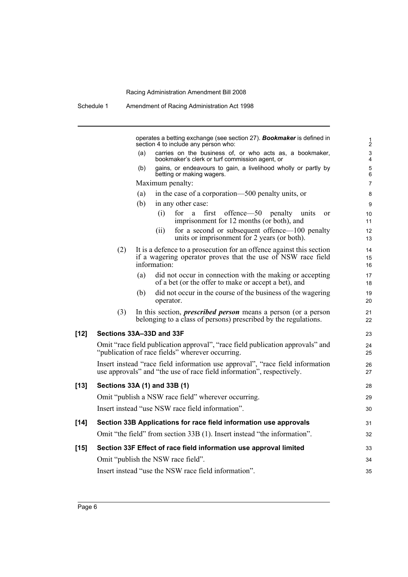|        | Schedule 1                         |     |                  | Amendment of Racing Administration Act 1998                                                                                                            |                                             |
|--------|------------------------------------|-----|------------------|--------------------------------------------------------------------------------------------------------------------------------------------------------|---------------------------------------------|
|        |                                    |     |                  | operates a betting exchange (see section 27). <b>Bookmaker</b> is defined in<br>section 4 to include any person who:                                   | $\frac{1}{2}$                               |
|        |                                    | (a) |                  | carries on the business of, or who acts as, a bookmaker,<br>bookmaker's clerk or turf commission agent, or                                             | $\ensuremath{\mathsf{3}}$<br>$\overline{4}$ |
|        |                                    | (b) |                  | gains, or endeavours to gain, a livelihood wholly or partly by                                                                                         | $\mathbf 5$                                 |
|        |                                    |     | Maximum penalty: | betting or making wagers.                                                                                                                              | 6<br>$\overline{7}$                         |
|        |                                    | (a) |                  | in the case of a corporation—500 penalty units, or                                                                                                     | 8                                           |
|        |                                    | (b) |                  | in any other case:                                                                                                                                     | 9                                           |
|        |                                    |     | (i)              | first<br>offence—50 penalty units<br>for<br>a<br>or<br>imprisonment for 12 months (or both), and                                                       | 10<br>11                                    |
|        |                                    |     | (i)              | for a second or subsequent offence—100 penalty<br>units or imprisonment for 2 years (or both).                                                         | 12<br>13                                    |
|        | (2)                                |     | information:     | It is a defence to a prosecution for an offence against this section<br>if a wagering operator proves that the use of NSW race field                   | 14<br>15<br>16                              |
|        |                                    | (a) |                  | did not occur in connection with the making or accepting<br>of a bet (or the offer to make or accept a bet), and                                       | 17<br>18                                    |
|        |                                    | (b) | operator.        | did not occur in the course of the business of the wagering                                                                                            | 19<br>20                                    |
|        | (3)                                |     |                  | In this section, <i>prescribed person</i> means a person (or a person<br>belonging to a class of persons) prescribed by the regulations.               | 21<br>22                                    |
| $[12]$ | Sections 33A-33D and 33F           |     |                  |                                                                                                                                                        | 23                                          |
|        |                                    |     |                  | Omit "race field publication approval", "race field publication approvals" and<br>"publication of race fields" wherever occurring.                     | 24<br>25                                    |
|        |                                    |     |                  | Insert instead "race field information use approval", "race field information<br>use approvals" and "the use of race field information", respectively. | 26<br>27                                    |
| $[13]$ | Sections 33A (1) and 33B (1)       |     |                  |                                                                                                                                                        | 28                                          |
|        |                                    |     |                  | Omit "publish a NSW race field" wherever occurring.                                                                                                    | 29                                          |
|        |                                    |     |                  | Insert instead "use NSW race field information".                                                                                                       | 30                                          |
| $[14]$ |                                    |     |                  | Section 33B Applications for race field information use approvals                                                                                      | 31                                          |
|        |                                    |     |                  | Omit "the field" from section 33B (1). Insert instead "the information".                                                                               | 32                                          |
| $[15]$ |                                    |     |                  | Section 33F Effect of race field information use approval limited                                                                                      | 33                                          |
|        | Omit "publish the NSW race field". |     |                  |                                                                                                                                                        | 34                                          |
|        |                                    |     |                  | Insert instead "use the NSW race field information".                                                                                                   | 35                                          |
|        |                                    |     |                  |                                                                                                                                                        |                                             |

Page 6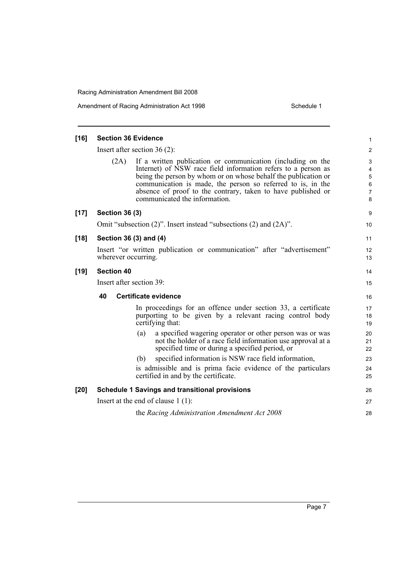Amendment of Racing Administration Act 1998 Schedule 1

| $[16]$ | <b>Section 36 Evidence</b>                                                                                                                                                                                                                                                                                                                                             | 1                                    |
|--------|------------------------------------------------------------------------------------------------------------------------------------------------------------------------------------------------------------------------------------------------------------------------------------------------------------------------------------------------------------------------|--------------------------------------|
|        | Insert after section $36(2)$ :                                                                                                                                                                                                                                                                                                                                         | $\overline{2}$                       |
|        | If a written publication or communication (including on the<br>(2A)<br>Internet) of NSW race field information refers to a person as<br>being the person by whom or on whose behalf the publication or<br>communication is made, the person so referred to is, in the<br>absence of proof to the contrary, taken to have published or<br>communicated the information. | 3<br>4<br>$\mathbf 5$<br>6<br>7<br>8 |
| $[17]$ | <b>Section 36 (3)</b>                                                                                                                                                                                                                                                                                                                                                  | 9                                    |
|        | Omit "subsection $(2)$ ". Insert instead "subsections $(2)$ and $(2A)$ ".                                                                                                                                                                                                                                                                                              | 10                                   |
| $[18]$ | Section 36 (3) and (4)                                                                                                                                                                                                                                                                                                                                                 | 11                                   |
|        | Insert "or written publication or communication" after "advertisement"<br>wherever occurring.                                                                                                                                                                                                                                                                          | $12 \overline{ }$<br>13              |
| $[19]$ | <b>Section 40</b>                                                                                                                                                                                                                                                                                                                                                      | 14                                   |
|        | Insert after section 39:                                                                                                                                                                                                                                                                                                                                               | 15                                   |
|        | 40<br><b>Certificate evidence</b>                                                                                                                                                                                                                                                                                                                                      | 16                                   |
|        | In proceedings for an offence under section 33, a certificate<br>purporting to be given by a relevant racing control body<br>certifying that:                                                                                                                                                                                                                          | 17<br>18<br>19                       |
|        | (a)<br>a specified wagering operator or other person was or was<br>not the holder of a race field information use approval at a<br>specified time or during a specified period, or                                                                                                                                                                                     | 20<br>21<br>22                       |
|        | specified information is NSW race field information,<br>(b)                                                                                                                                                                                                                                                                                                            | 23                                   |
|        | is admissible and is prima facie evidence of the particulars<br>certified in and by the certificate.                                                                                                                                                                                                                                                                   | 24<br>25                             |
| $[20]$ | <b>Schedule 1 Savings and transitional provisions</b>                                                                                                                                                                                                                                                                                                                  | 26                                   |
|        | Insert at the end of clause $1(1)$ :                                                                                                                                                                                                                                                                                                                                   | 27                                   |
|        | the Racing Administration Amendment Act 2008                                                                                                                                                                                                                                                                                                                           | 28                                   |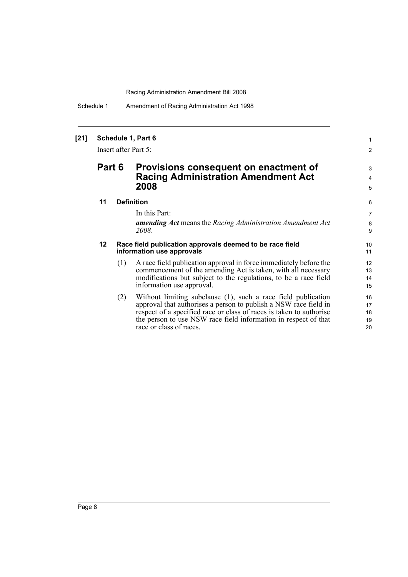Schedule 1 Amendment of Racing Administration Act 1998

### **[21] Schedule 1, Part 6**

Insert after Part 5:

## **Part 6 Provisions consequent on enactment of Racing Administration Amendment Act 2008**

#### **11 Definition**

In this Part:

*amending Act* means the *Racing Administration Amendment Act 2008*.

1 2

3 4 5

#### **12 Race field publication approvals deemed to be race field information use approvals**

- (1) A race field publication approval in force immediately before the commencement of the amending Act is taken, with all necessary modifications but subject to the regulations, to be a race field information use approval.
- (2) Without limiting subclause (1), such a race field publication approval that authorises a person to publish a NSW race field in respect of a specified race or class of races is taken to authorise the person to use NSW race field information in respect of that race or class of races.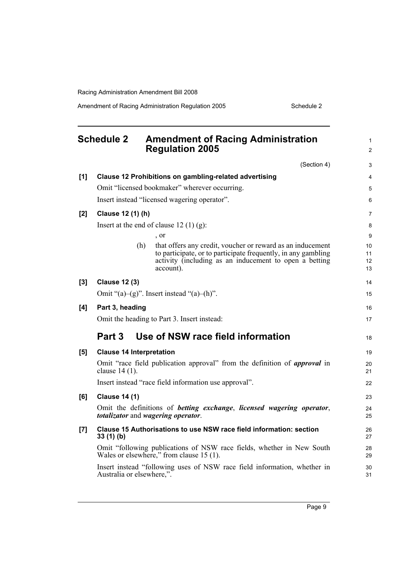Amendment of Racing Administration Regulation 2005 Schedule 2

<span id="page-16-0"></span>

|                    | <b>Schedule 2</b>               | <b>Amendment of Racing Administration</b><br><b>Regulation 2005</b>                                                                                                                                | $\mathbf{1}$<br>$\overline{2}$ |
|--------------------|---------------------------------|----------------------------------------------------------------------------------------------------------------------------------------------------------------------------------------------------|--------------------------------|
|                    |                                 | (Section 4)                                                                                                                                                                                        | 3                              |
| [1]                |                                 | Clause 12 Prohibitions on gambling-related advertising                                                                                                                                             | $\overline{4}$                 |
|                    |                                 | Omit "licensed bookmaker" wherever occurring.                                                                                                                                                      | 5                              |
|                    |                                 | Insert instead "licensed wagering operator".                                                                                                                                                       | 6                              |
| [2]                | Clause 12 (1) (h)               |                                                                                                                                                                                                    | $\overline{7}$                 |
|                    |                                 | Insert at the end of clause 12 $(1)$ $(g)$ :                                                                                                                                                       | 8                              |
|                    |                                 | , or                                                                                                                                                                                               | 9                              |
|                    | (h)                             | that offers any credit, voucher or reward as an inducement<br>to participate, or to participate frequently, in any gambling<br>activity (including as an inducement to open a betting<br>account). | 10<br>11<br>12<br>13           |
| [3]                | <b>Clause 12 (3)</b>            |                                                                                                                                                                                                    | 14                             |
|                    |                                 | Omit " $(a)$ - $(g)$ ". Insert instead " $(a)$ - $(h)$ ".                                                                                                                                          | 15                             |
| [4]                | Part 3, heading                 |                                                                                                                                                                                                    | 16                             |
|                    |                                 | Omit the heading to Part 3. Insert instead:                                                                                                                                                        | 17                             |
|                    | Part 3                          | Use of NSW race field information                                                                                                                                                                  | 18                             |
| [5]                | <b>Clause 14 Interpretation</b> |                                                                                                                                                                                                    | 19                             |
|                    | clause 14 (1).                  | Omit "race field publication approval" from the definition of <i>approval</i> in                                                                                                                   | 20<br>21                       |
|                    |                                 | Insert instead "race field information use approval".                                                                                                                                              | 22                             |
| [6]                | <b>Clause 14 (1)</b>            |                                                                                                                                                                                                    | 23                             |
|                    |                                 | Omit the definitions of betting exchange, licensed wagering operator,<br>totalizator and wagering operator.                                                                                        | 24<br>25                       |
| $\left[ 7 \right]$ | 33(1)(b)                        | Clause 15 Authorisations to use NSW race field information: section                                                                                                                                | 26<br>27                       |
|                    |                                 | Omit "following publications of NSW race fields, whether in New South<br>Wales or elsewhere," from clause 15 (1).                                                                                  | 28<br>29                       |
|                    | Australia or elsewhere,".       | Insert instead "following uses of NSW race field information, whether in                                                                                                                           | 30<br>31                       |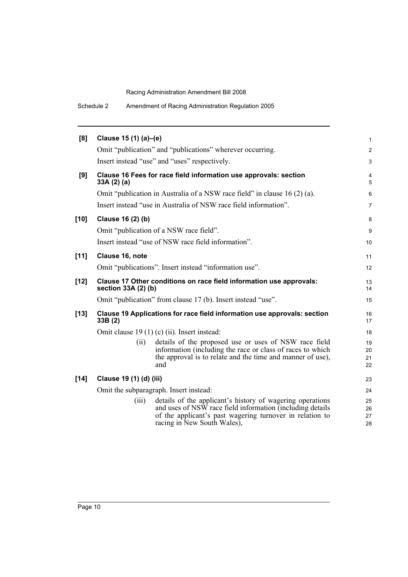| Schedule 2 |  |  | Amendment of Racing Administration Regulation 2005 |  |
|------------|--|--|----------------------------------------------------|--|
|------------|--|--|----------------------------------------------------|--|

| [8]    | Clause 15 (1) (a)-(e)   |                                                                                                                                                                                                                   | 1                    |
|--------|-------------------------|-------------------------------------------------------------------------------------------------------------------------------------------------------------------------------------------------------------------|----------------------|
|        |                         | Omit "publication" and "publications" wherever occurring.                                                                                                                                                         | $\overline{c}$       |
|        |                         | Insert instead "use" and "uses" respectively.                                                                                                                                                                     | 3                    |
| [9]    | 33A(2)(a)               | Clause 16 Fees for race field information use approvals: section                                                                                                                                                  | 4<br>5               |
|        |                         | Omit "publication in Australia of a NSW race field" in clause 16 (2) (a).                                                                                                                                         | 6                    |
|        |                         | Insert instead "use in Australia of NSW race field information".                                                                                                                                                  | 7                    |
| $[10]$ | Clause 16 (2) (b)       |                                                                                                                                                                                                                   | 8                    |
|        |                         | Omit "publication of a NSW race field".                                                                                                                                                                           | 9                    |
|        |                         | Insert instead "use of NSW race field information".                                                                                                                                                               | 10                   |
| $[11]$ | Clause 16, note         |                                                                                                                                                                                                                   | 11                   |
|        |                         | Omit "publications". Insert instead "information use".                                                                                                                                                            | 12                   |
| $[12]$ | section 33A (2) (b)     | Clause 17 Other conditions on race field information use approvals:                                                                                                                                               | 13<br>14             |
|        |                         | Omit "publication" from clause 17 (b). Insert instead "use".                                                                                                                                                      | 15                   |
| $[13]$ | 33B (2)                 | Clause 19 Applications for race field information use approvals: section                                                                                                                                          | 16<br>17             |
|        |                         | Omit clause 19 (1) (c) (ii). Insert instead:                                                                                                                                                                      | 18                   |
|        | (ii)                    | details of the proposed use or uses of NSW race field<br>information (including the race or class of races to which<br>the approval is to relate and the time and manner of use),<br>and                          | 19<br>20<br>21<br>22 |
| $[14]$ | Clause 19 (1) (d) (iii) |                                                                                                                                                                                                                   | 23                   |
|        |                         | Omit the subparagraph. Insert instead:                                                                                                                                                                            | 24                   |
|        | (iii)                   | details of the applicant's history of wagering operations<br>and uses of NSW race field information (including details<br>of the applicant's past wagering turnover in relation to<br>racing in New South Wales), | 25<br>26<br>27<br>28 |
|        |                         |                                                                                                                                                                                                                   |                      |